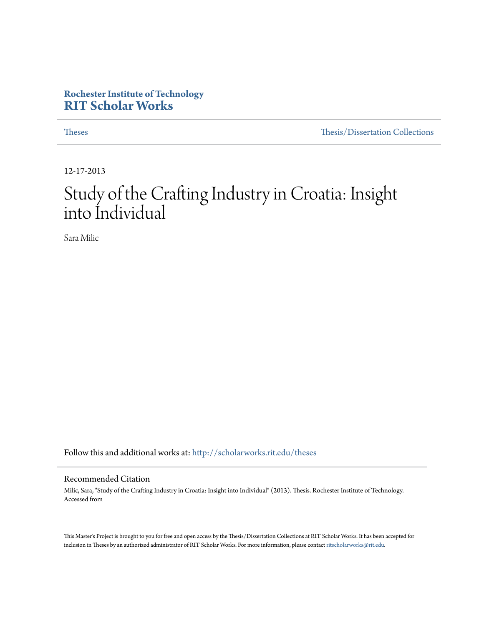# **Rochester Institute of Technology [RIT Scholar Works](http://scholarworks.rit.edu?utm_source=scholarworks.rit.edu%2Ftheses%2F9367&utm_medium=PDF&utm_campaign=PDFCoverPages)**

[Theses](http://scholarworks.rit.edu/theses?utm_source=scholarworks.rit.edu%2Ftheses%2F9367&utm_medium=PDF&utm_campaign=PDFCoverPages) [Thesis/Dissertation Collections](http://scholarworks.rit.edu/etd_collections?utm_source=scholarworks.rit.edu%2Ftheses%2F9367&utm_medium=PDF&utm_campaign=PDFCoverPages)

12-17-2013

# Study of the Crafting Industry in Croatia: Insight into Individual

Sara Milic

Follow this and additional works at: [http://scholarworks.rit.edu/theses](http://scholarworks.rit.edu/theses?utm_source=scholarworks.rit.edu%2Ftheses%2F9367&utm_medium=PDF&utm_campaign=PDFCoverPages)

#### Recommended Citation

Milic, Sara, "Study of the Crafting Industry in Croatia: Insight into Individual" (2013). Thesis. Rochester Institute of Technology. Accessed from

This Master's Project is brought to you for free and open access by the Thesis/Dissertation Collections at RIT Scholar Works. It has been accepted for inclusion in Theses by an authorized administrator of RIT Scholar Works. For more information, please contact [ritscholarworks@rit.edu](mailto:ritscholarworks@rit.edu).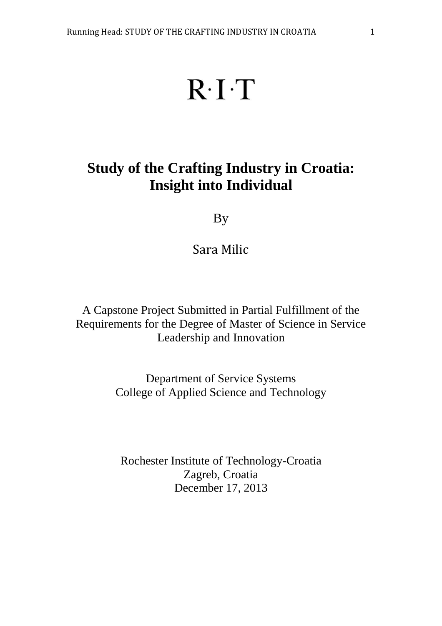# $R \cdot I \cdot T$

# **Study of the Crafting Industry in Croatia: Insight into Individual**

# By

# Sara Milic

A Capstone Project Submitted in Partial Fulfillment of the Requirements for the Degree of Master of Science in Service Leadership and Innovation

> Department of Service Systems College of Applied Science and Technology

Rochester Institute of Technology-Croatia Zagreb, Croatia December 17, 2013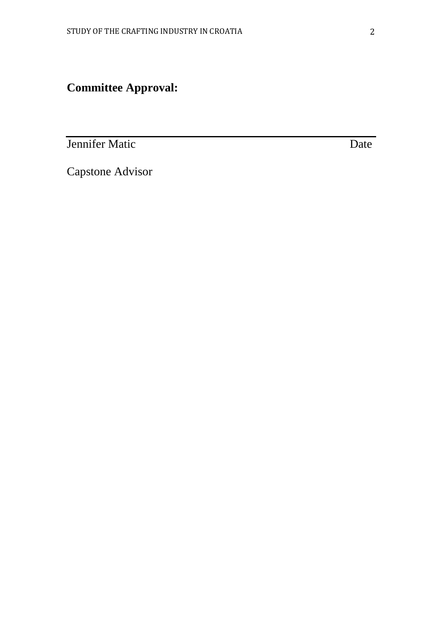**Committee Approval:**

**Jennifer Matic** Date

Capstone Advisor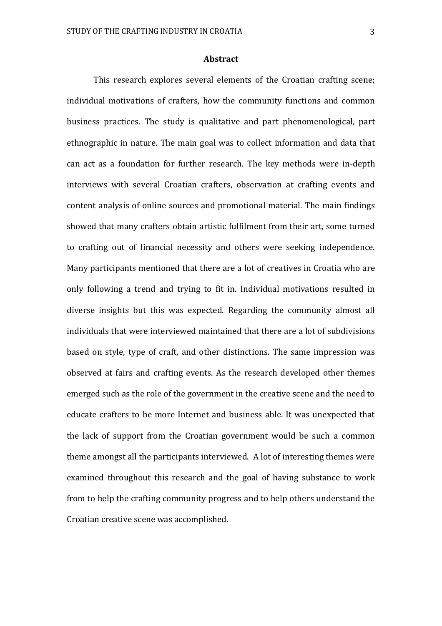#### **Abstract**

This research explores several elements of the Croatian crafting scene; individual motivations of crafters, how the community functions and common business practices. The study is qualitative and part phenomenological, part ethnographic in nature. The main goal was to collect information and data that can act as a foundation for further research. The key methods were in-depth interviews with several Croatian crafters, observation at crafting events and content analysis of online sources and promotional material. The main findings showed that many crafters obtain artistic fulfilment from their art, some turned to crafting out of financial necessity and others were seeking independence. Many participants mentioned that there are a lot of creatives in Croatia who are only following a trend and trying to fit in. Individual motivations resulted in diverse insights but this was expected. Regarding the community almost all individuals that were interviewed maintained that there are a lot of subdivisions based on style, type of craft, and other distinctions. The same impression was observed at fairs and crafting events. As the research developed other themes emerged such as the role of the government in the creative scene and the need to educate crafters to be more Internet and business able. It was unexpected that the lack of support from the Croatian government would be such a common theme amongst all the participants interviewed. A lot of interesting themes were examined throughout this research and the goal of having substance to work from to help the crafting community progress and to help others understand the Croatian creative scene was accomplished.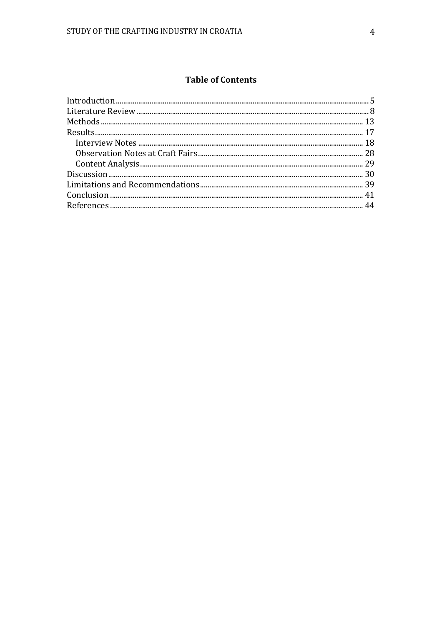# **Table of Contents**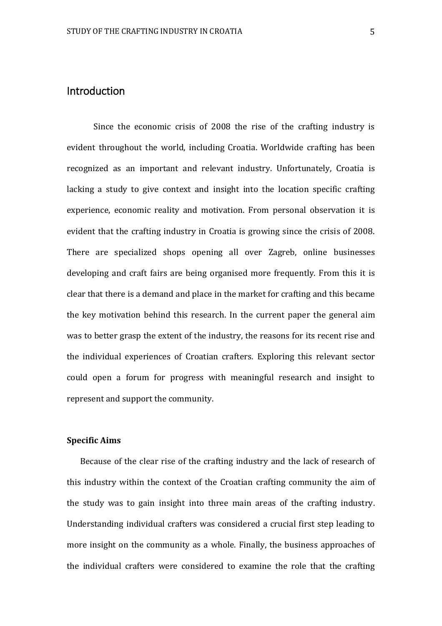# <span id="page-5-0"></span>**Introduction**

Since the economic crisis of 2008 the rise of the crafting industry is evident throughout the world, including Croatia. Worldwide crafting has been recognized as an important and relevant industry. Unfortunately, Croatia is lacking a study to give context and insight into the location specific crafting experience, economic reality and motivation. From personal observation it is evident that the crafting industry in Croatia is growing since the crisis of 2008. There are specialized shops opening all over Zagreb, online businesses developing and craft fairs are being organised more frequently. From this it is clear that there is a demand and place in the market for crafting and this became the key motivation behind this research. In the current paper the general aim was to better grasp the extent of the industry, the reasons for its recent rise and the individual experiences of Croatian crafters. Exploring this relevant sector could open a forum for progress with meaningful research and insight to represent and support the community.

#### **Specific Aims**

Because of the clear rise of the crafting industry and the lack of research of this industry within the context of the Croatian crafting community the aim of the study was to gain insight into three main areas of the crafting industry. Understanding individual crafters was considered a crucial first step leading to more insight on the community as a whole. Finally, the business approaches of the individual crafters were considered to examine the role that the crafting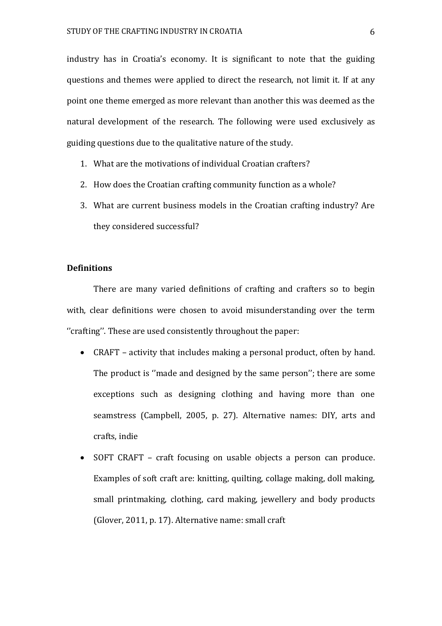industry has in Croatia's economy. It is significant to note that the guiding questions and themes were applied to direct the research, not limit it. If at any point one theme emerged as more relevant than another this was deemed as the natural development of the research. The following were used exclusively as guiding questions due to the qualitative nature of the study.

- 1. What are the motivations of individual Croatian crafters?
- 2. How does the Croatian crafting community function as a whole?
- 3. What are current business models in the Croatian crafting industry? Are they considered successful?

#### **Definitions**

There are many varied definitions of crafting and crafters so to begin with, clear definitions were chosen to avoid misunderstanding over the term ''crafting''. These are used consistently throughout the paper:

- CRAFT activity that includes making a personal product, often by hand. The product is ''made and designed by the same person''; there are some exceptions such as designing clothing and having more than one seamstress (Campbell, 2005, p. 27). Alternative names: DIY, arts and crafts, indie
- SOFT CRAFT craft focusing on usable objects a person can produce. Examples of soft craft are: knitting, quilting, collage making, doll making, small printmaking, clothing, card making, jewellery and body products (Glover, 2011, p. 17). Alternative name: small craft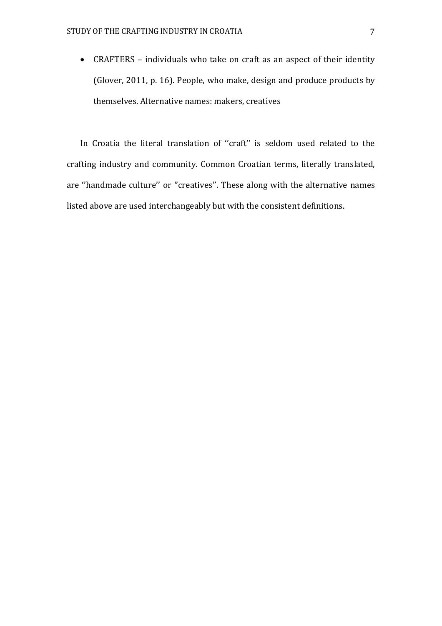CRAFTERS – individuals who take on craft as an aspect of their identity (Glover, 2011, p. 16). People, who make, design and produce products by themselves. Alternative names: makers, creatives

In Croatia the literal translation of ''craft'' is seldom used related to the crafting industry and community. Common Croatian terms, literally translated, are ''handmade culture'' or ''creatives''. These along with the alternative names listed above are used interchangeably but with the consistent definitions.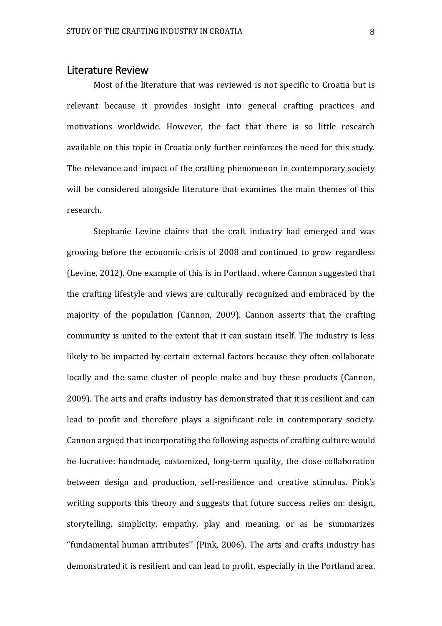# <span id="page-8-0"></span>Literature Review

Most of the literature that was reviewed is not specific to Croatia but is relevant because it provides insight into general crafting practices and motivations worldwide. However, the fact that there is so little research available on this topic in Croatia only further reinforces the need for this study. The relevance and impact of the crafting phenomenon in contemporary society will be considered alongside literature that examines the main themes of this research.

Stephanie Levine claims that the craft industry had emerged and was growing before the economic crisis of 2008 and continued to grow regardless (Levine, 2012). One example of this is in Portland, where Cannon suggested that the crafting lifestyle and views are culturally recognized and embraced by the majority of the population (Cannon, 2009). Cannon asserts that the crafting community is united to the extent that it can sustain itself. The industry is less likely to be impacted by certain external factors because they often collaborate locally and the same cluster of people make and buy these products (Cannon, 2009). The arts and crafts industry has demonstrated that it is resilient and can lead to profit and therefore plays a significant role in contemporary society. Cannon argued that incorporating the following aspects of crafting culture would be lucrative: handmade, customized, long-term quality, the close collaboration between design and production, self-resilience and creative stimulus. Pink's writing supports this theory and suggests that future success relies on: design, storytelling, simplicity, empathy, play and meaning, or as he summarizes ''fundamental human attributes'' (Pink, 2006). The arts and crafts industry has demonstrated it is resilient and can lead to profit, especially in the Portland area.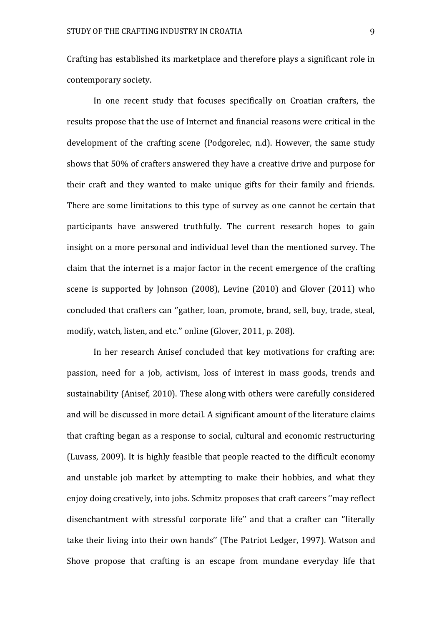Crafting has established its marketplace and therefore plays a significant role in contemporary society.

In one recent study that focuses specifically on Croatian crafters, the results propose that the use of Internet and financial reasons were critical in the development of the crafting scene (Podgorelec, n.d). However, the same study shows that 50% of crafters answered they have a creative drive and purpose for their craft and they wanted to make unique gifts for their family and friends. There are some limitations to this type of survey as one cannot be certain that participants have answered truthfully. The current research hopes to gain insight on a more personal and individual level than the mentioned survey. The claim that the internet is a major factor in the recent emergence of the crafting scene is supported by Johnson (2008), Levine (2010) and Glover (2011) who concluded that crafters can ''gather, loan, promote, brand, sell, buy, trade, steal, modify, watch, listen, and etc.'' online (Glover, 2011, p. 208).

In her research Anisef concluded that key motivations for crafting are: passion, need for a job, activism, loss of interest in mass goods, trends and sustainability (Anisef, 2010). These along with others were carefully considered and will be discussed in more detail. A significant amount of the literature claims that crafting began as a response to social, cultural and economic restructuring (Luvass, 2009). It is highly feasible that people reacted to the difficult economy and unstable job market by attempting to make their hobbies, and what they enjoy doing creatively, into jobs. Schmitz proposes that craft careers ''may reflect disenchantment with stressful corporate life'' and that a crafter can ''literally take their living into their own hands'' (The Patriot Ledger, 1997). Watson and Shove propose that crafting is an escape from mundane everyday life that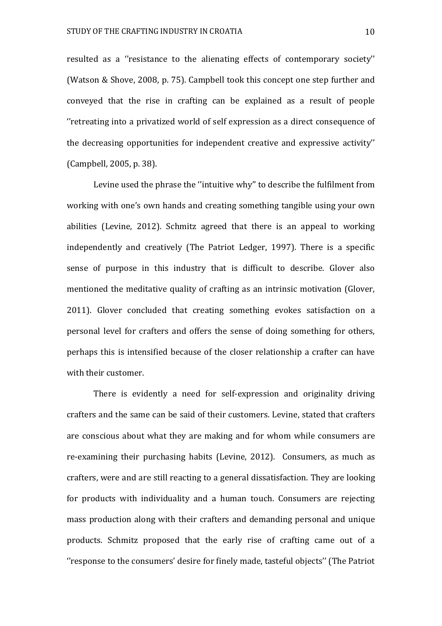resulted as a ''resistance to the alienating effects of contemporary society'' (Watson & Shove, 2008, p. 75). Campbell took this concept one step further and conveyed that the rise in crafting can be explained as a result of people ''retreating into a privatized world of self expression as a direct consequence of the decreasing opportunities for independent creative and expressive activity'' (Campbell, 2005, p. 38).

Levine used the phrase the ''intuitive why'' to describe the fulfilment from working with one's own hands and creating something tangible using your own abilities (Levine, 2012). Schmitz agreed that there is an appeal to working independently and creatively (The Patriot Ledger, 1997). There is a specific sense of purpose in this industry that is difficult to describe. Glover also mentioned the meditative quality of crafting as an intrinsic motivation (Glover, 2011). Glover concluded that creating something evokes satisfaction on a personal level for crafters and offers the sense of doing something for others, perhaps this is intensified because of the closer relationship a crafter can have with their customer.

There is evidently a need for self-expression and originality driving crafters and the same can be said of their customers. Levine, stated that crafters are conscious about what they are making and for whom while consumers are re-examining their purchasing habits (Levine, 2012). Consumers, as much as crafters, were and are still reacting to a general dissatisfaction. They are looking for products with individuality and a human touch. Consumers are rejecting mass production along with their crafters and demanding personal and unique products. Schmitz proposed that the early rise of crafting came out of a ''response to the consumers' desire for finely made, tasteful objects'' (The Patriot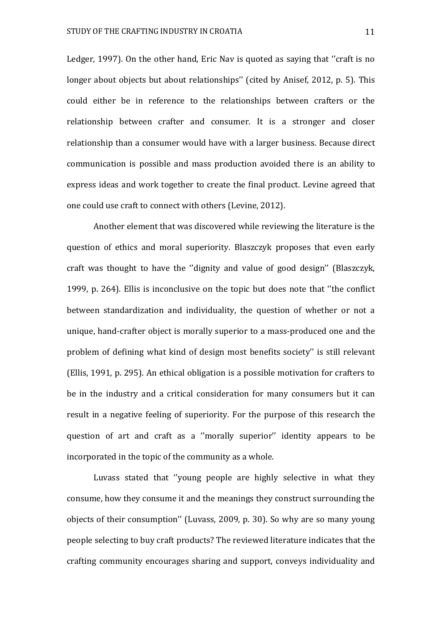Ledger, 1997). On the other hand, Eric Nav is quoted as saying that "craft is no longer about objects but about relationships'' (cited by Anisef, 2012, p. 5). This could either be in reference to the relationships between crafters or the relationship between crafter and consumer. It is a stronger and closer relationship than a consumer would have with a larger business. Because direct communication is possible and mass production avoided there is an ability to express ideas and work together to create the final product. Levine agreed that one could use craft to connect with others (Levine, 2012).

Another element that was discovered while reviewing the literature is the question of ethics and moral superiority. Blaszczyk proposes that even early craft was thought to have the ''dignity and value of good design'' (Blaszczyk, 1999, p. 264). Ellis is inconclusive on the topic but does note that ''the conflict between standardization and individuality, the question of whether or not a unique, hand-crafter object is morally superior to a mass-produced one and the problem of defining what kind of design most benefits society'' is still relevant (Ellis, 1991, p. 295). An ethical obligation is a possible motivation for crafters to be in the industry and a critical consideration for many consumers but it can result in a negative feeling of superiority. For the purpose of this research the question of art and craft as a ''morally superior'' identity appears to be incorporated in the topic of the community as a whole.

Luvass stated that ''young people are highly selective in what they consume, how they consume it and the meanings they construct surrounding the objects of their consumption'' (Luvass, 2009, p. 30). So why are so many young people selecting to buy craft products? The reviewed literature indicates that the crafting community encourages sharing and support, conveys individuality and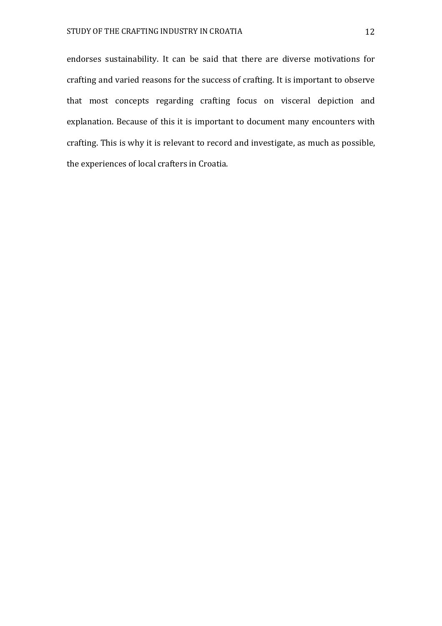endorses sustainability. It can be said that there are diverse motivations for crafting and varied reasons for the success of crafting. It is important to observe that most concepts regarding crafting focus on visceral depiction and explanation. Because of this it is important to document many encounters with crafting. This is why it is relevant to record and investigate, as much as possible, the experiences of local crafters in Croatia.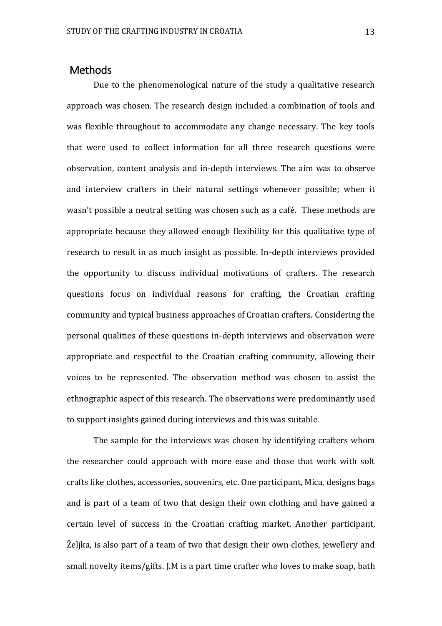# <span id="page-13-0"></span>Methods

Due to the phenomenological nature of the study a qualitative research approach was chosen. The research design included a combination of tools and was flexible throughout to accommodate any change necessary. The key tools that were used to collect information for all three research questions were observation, content analysis and in-depth interviews. The aim was to observe and interview crafters in their natural settings whenever possible; when it wasn't possible a neutral setting was chosen such as a café. These methods are appropriate because they allowed enough flexibility for this qualitative type of research to result in as much insight as possible. In-depth interviews provided the opportunity to discuss individual motivations of crafters. The research questions focus on individual reasons for crafting, the Croatian crafting community and typical business approaches of Croatian crafters. Considering the personal qualities of these questions in-depth interviews and observation were appropriate and respectful to the Croatian crafting community, allowing their voices to be represented. The observation method was chosen to assist the ethnographic aspect of this research. The observations were predominantly used to support insights gained during interviews and this was suitable.

The sample for the interviews was chosen by identifying crafters whom the researcher could approach with more ease and those that work with soft crafts like clothes, accessories, souvenirs, etc. One participant, Mica, designs bags and is part of a team of two that design their own clothing and have gained a certain level of success in the Croatian crafting market. Another participant, Željka, is also part of a team of two that design their own clothes, jewellery and small novelty items/gifts. J.M is a part time crafter who loves to make soap, bath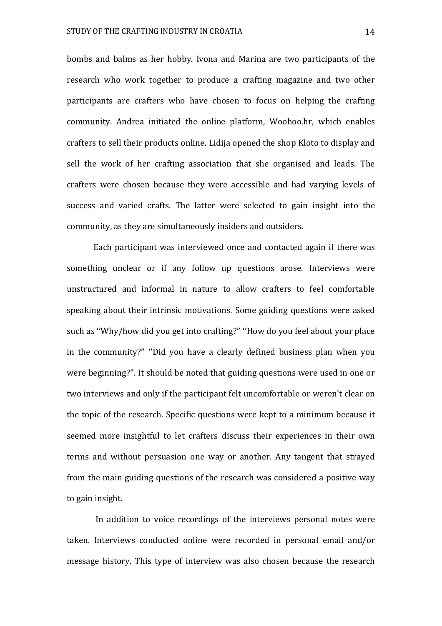bombs and balms as her hobby. Ivona and Marina are two participants of the research who work together to produce a crafting magazine and two other participants are crafters who have chosen to focus on helping the crafting community. Andrea initiated the online platform, Woohoo.hr, which enables crafters to sell their products online. Lidija opened the shop Kloto to display and sell the work of her crafting association that she organised and leads. The crafters were chosen because they were accessible and had varying levels of success and varied crafts. The latter were selected to gain insight into the community, as they are simultaneously insiders and outsiders.

Each participant was interviewed once and contacted again if there was something unclear or if any follow up questions arose. Interviews were unstructured and informal in nature to allow crafters to feel comfortable speaking about their intrinsic motivations. Some guiding questions were asked such as ''Why/how did you get into crafting?'' ''How do you feel about your place in the community?'' ''Did you have a clearly defined business plan when you were beginning?''. It should be noted that guiding questions were used in one or two interviews and only if the participant felt uncomfortable or weren't clear on the topic of the research. Specific questions were kept to a minimum because it seemed more insightful to let crafters discuss their experiences in their own terms and without persuasion one way or another. Any tangent that strayed from the main guiding questions of the research was considered a positive way to gain insight.

In addition to voice recordings of the interviews personal notes were taken. Interviews conducted online were recorded in personal email and/or message history. This type of interview was also chosen because the research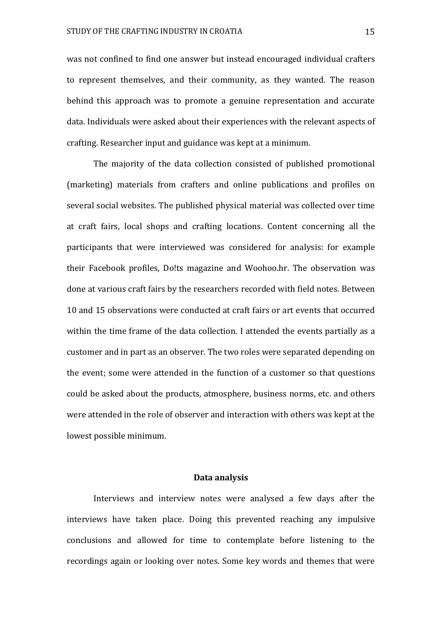was not confined to find one answer but instead encouraged individual crafters to represent themselves, and their community, as they wanted. The reason behind this approach was to promote a genuine representation and accurate data. Individuals were asked about their experiences with the relevant aspects of crafting. Researcher input and guidance was kept at a minimum.

The majority of the data collection consisted of published promotional (marketing) materials from crafters and online publications and profiles on several social websites. The published physical material was collected over time at craft fairs, local shops and crafting locations. Content concerning all the participants that were interviewed was considered for analysis: for example their Facebook profiles, Do!ts magazine and Woohoo.hr. The observation was done at various craft fairs by the researchers recorded with field notes. Between 10 and 15 observations were conducted at craft fairs or art events that occurred within the time frame of the data collection. I attended the events partially as a customer and in part as an observer. The two roles were separated depending on the event; some were attended in the function of a customer so that questions could be asked about the products, atmosphere, business norms, etc. and others were attended in the role of observer and interaction with others was kept at the lowest possible minimum.

#### **Data analysis**

Interviews and interview notes were analysed a few days after the interviews have taken place. Doing this prevented reaching any impulsive conclusions and allowed for time to contemplate before listening to the recordings again or looking over notes. Some key words and themes that were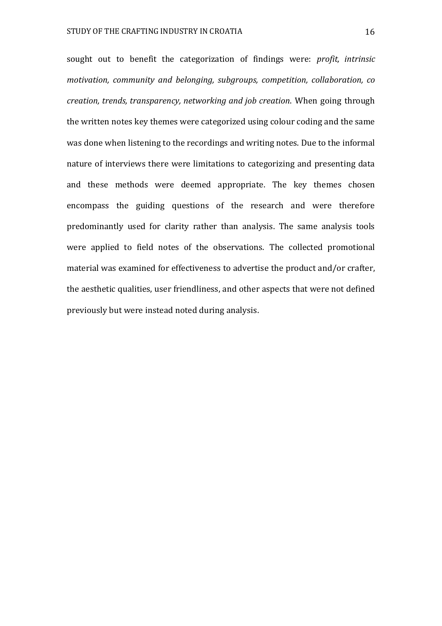sought out to benefit the categorization of findings were: *profit, intrinsic motivation, community and belonging, subgroups, competition, collaboration, co creation, trends, transparency, networking and job creation*. When going through the written notes key themes were categorized using colour coding and the same was done when listening to the recordings and writing notes. Due to the informal nature of interviews there were limitations to categorizing and presenting data and these methods were deemed appropriate. The key themes chosen encompass the guiding questions of the research and were therefore predominantly used for clarity rather than analysis. The same analysis tools were applied to field notes of the observations. The collected promotional material was examined for effectiveness to advertise the product and/or crafter, the aesthetic qualities, user friendliness, and other aspects that were not defined previously but were instead noted during analysis.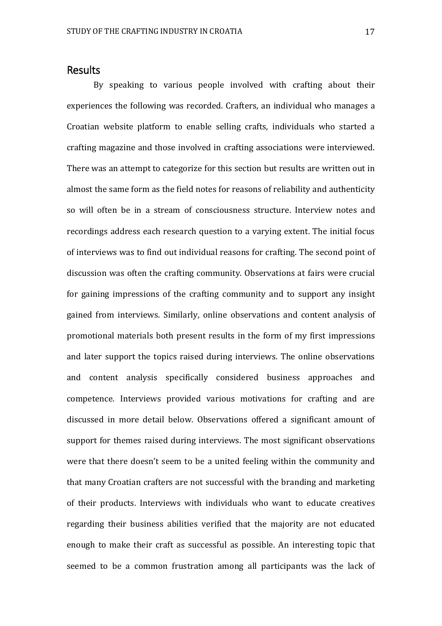# <span id="page-17-0"></span>Results

By speaking to various people involved with crafting about their experiences the following was recorded. Crafters, an individual who manages a Croatian website platform to enable selling crafts, individuals who started a crafting magazine and those involved in crafting associations were interviewed. There was an attempt to categorize for this section but results are written out in almost the same form as the field notes for reasons of reliability and authenticity so will often be in a stream of consciousness structure. Interview notes and recordings address each research question to a varying extent. The initial focus of interviews was to find out individual reasons for crafting. The second point of discussion was often the crafting community. Observations at fairs were crucial for gaining impressions of the crafting community and to support any insight gained from interviews. Similarly, online observations and content analysis of promotional materials both present results in the form of my first impressions and later support the topics raised during interviews. The online observations and content analysis specifically considered business approaches and competence. Interviews provided various motivations for crafting and are discussed in more detail below. Observations offered a significant amount of support for themes raised during interviews. The most significant observations were that there doesn't seem to be a united feeling within the community and that many Croatian crafters are not successful with the branding and marketing of their products. Interviews with individuals who want to educate creatives regarding their business abilities verified that the majority are not educated enough to make their craft as successful as possible. An interesting topic that seemed to be a common frustration among all participants was the lack of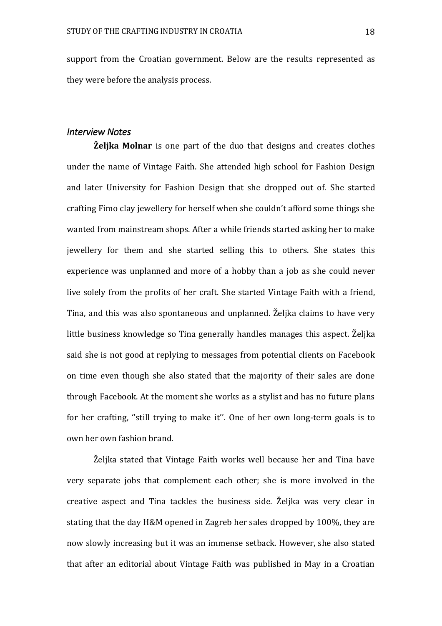support from the Croatian government. Below are the results represented as they were before the analysis process.

#### <span id="page-18-0"></span>*Interview Notes*

**Željka Molnar** is one part of the duo that designs and creates clothes under the name of Vintage Faith. She attended high school for Fashion Design and later University for Fashion Design that she dropped out of. She started crafting Fimo clay jewellery for herself when she couldn't afford some things she wanted from mainstream shops. After a while friends started asking her to make jewellery for them and she started selling this to others. She states this experience was unplanned and more of a hobby than a job as she could never live solely from the profits of her craft. She started Vintage Faith with a friend, Tina, and this was also spontaneous and unplanned. Željka claims to have very little business knowledge so Tina generally handles manages this aspect. Željka said she is not good at replying to messages from potential clients on Facebook on time even though she also stated that the majority of their sales are done through Facebook. At the moment she works as a stylist and has no future plans for her crafting, ''still trying to make it''. One of her own long-term goals is to own her own fashion brand.

Željka stated that Vintage Faith works well because her and Tina have very separate jobs that complement each other; she is more involved in the creative aspect and Tina tackles the business side. Željka was very clear in stating that the day H&M opened in Zagreb her sales dropped by 100%, they are now slowly increasing but it was an immense setback. However, she also stated that after an editorial about Vintage Faith was published in May in a Croatian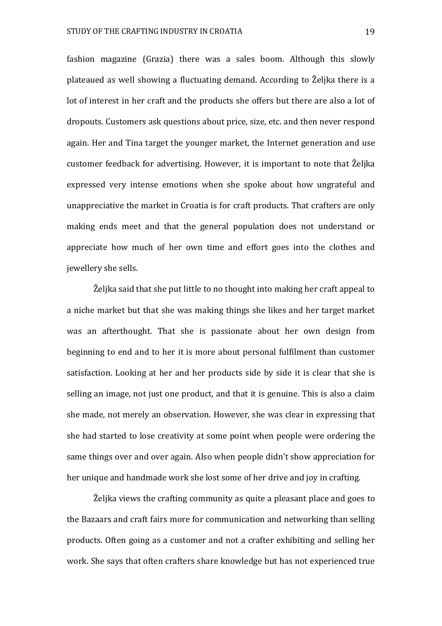fashion magazine (Grazia) there was a sales boom. Although this slowly plateaued as well showing a fluctuating demand. According to Željka there is a lot of interest in her craft and the products she offers but there are also a lot of dropouts. Customers ask questions about price, size, etc. and then never respond again. Her and Tina target the younger market, the Internet generation and use customer feedback for advertising. However, it is important to note that Željka expressed very intense emotions when she spoke about how ungrateful and unappreciative the market in Croatia is for craft products. That crafters are only making ends meet and that the general population does not understand or appreciate how much of her own time and effort goes into the clothes and jewellery she sells.

Željka said that she put little to no thought into making her craft appeal to a niche market but that she was making things she likes and her target market was an afterthought. That she is passionate about her own design from beginning to end and to her it is more about personal fulfilment than customer satisfaction. Looking at her and her products side by side it is clear that she is selling an image, not just one product, and that it is genuine. This is also a claim she made, not merely an observation. However, she was clear in expressing that she had started to lose creativity at some point when people were ordering the same things over and over again. Also when people didn't show appreciation for her unique and handmade work she lost some of her drive and joy in crafting.

Željka views the crafting community as quite a pleasant place and goes to the Bazaars and craft fairs more for communication and networking than selling products. Often going as a customer and not a crafter exhibiting and selling her work. She says that often crafters share knowledge but has not experienced true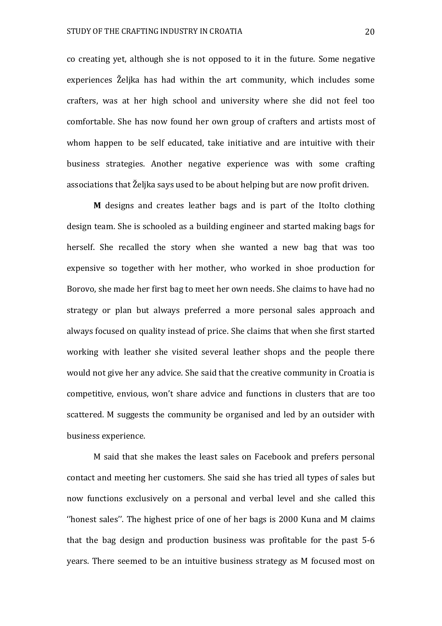co creating yet, although she is not opposed to it in the future. Some negative experiences Željka has had within the art community, which includes some crafters, was at her high school and university where she did not feel too comfortable. She has now found her own group of crafters and artists most of whom happen to be self educated, take initiative and are intuitive with their business strategies. Another negative experience was with some crafting associations that Željka says used to be about helping but are now profit driven.

**M** designs and creates leather bags and is part of the ItoIto clothing design team. She is schooled as a building engineer and started making bags for herself. She recalled the story when she wanted a new bag that was too expensive so together with her mother, who worked in shoe production for Borovo, she made her first bag to meet her own needs. She claims to have had no strategy or plan but always preferred a more personal sales approach and always focused on quality instead of price. She claims that when she first started working with leather she visited several leather shops and the people there would not give her any advice. She said that the creative community in Croatia is competitive, envious, won't share advice and functions in clusters that are too scattered. M suggests the community be organised and led by an outsider with business experience.

M said that she makes the least sales on Facebook and prefers personal contact and meeting her customers. She said she has tried all types of sales but now functions exclusively on a personal and verbal level and she called this ''honest sales''. The highest price of one of her bags is 2000 Kuna and M claims that the bag design and production business was profitable for the past 5-6 years. There seemed to be an intuitive business strategy as M focused most on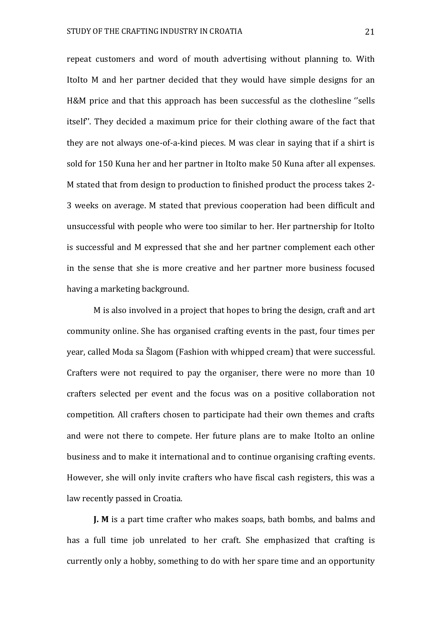repeat customers and word of mouth advertising without planning to. With ItoIto M and her partner decided that they would have simple designs for an H&M price and that this approach has been successful as the clothesline ''sells itself''. They decided a maximum price for their clothing aware of the fact that they are not always one-of-a-kind pieces. M was clear in saying that if a shirt is sold for 150 Kuna her and her partner in ItoIto make 50 Kuna after all expenses. M stated that from design to production to finished product the process takes 2- 3 weeks on average. M stated that previous cooperation had been difficult and unsuccessful with people who were too similar to her. Her partnership for ItoIto is successful and M expressed that she and her partner complement each other in the sense that she is more creative and her partner more business focused having a marketing background.

M is also involved in a project that hopes to bring the design, craft and art community online. She has organised crafting events in the past, four times per year, called Moda sa Šlagom (Fashion with whipped cream) that were successful. Crafters were not required to pay the organiser, there were no more than 10 crafters selected per event and the focus was on a positive collaboration not competition. All crafters chosen to participate had their own themes and crafts and were not there to compete. Her future plans are to make ItoIto an online business and to make it international and to continue organising crafting events. However, she will only invite crafters who have fiscal cash registers, this was a law recently passed in Croatia.

**J. M** is a part time crafter who makes soaps, bath bombs, and balms and has a full time job unrelated to her craft. She emphasized that crafting is currently only a hobby, something to do with her spare time and an opportunity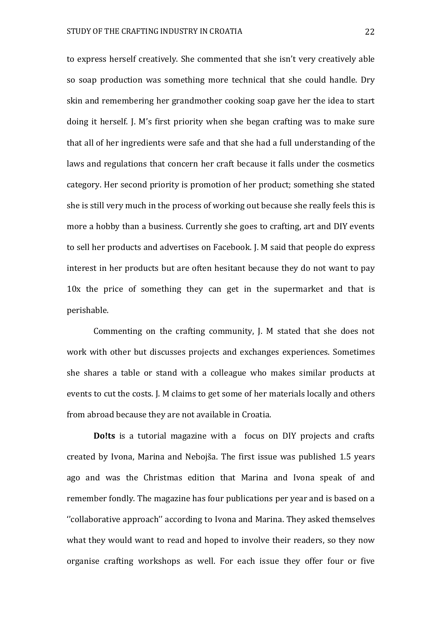to express herself creatively. She commented that she isn't very creatively able so soap production was something more technical that she could handle. Dry skin and remembering her grandmother cooking soap gave her the idea to start doing it herself. J. M's first priority when she began crafting was to make sure that all of her ingredients were safe and that she had a full understanding of the laws and regulations that concern her craft because it falls under the cosmetics category. Her second priority is promotion of her product; something she stated she is still very much in the process of working out because she really feels this is more a hobby than a business. Currently she goes to crafting, art and DIY events to sell her products and advertises on Facebook. J. M said that people do express interest in her products but are often hesitant because they do not want to pay 10x the price of something they can get in the supermarket and that is perishable.

Commenting on the crafting community, J. M stated that she does not work with other but discusses projects and exchanges experiences. Sometimes she shares a table or stand with a colleague who makes similar products at events to cut the costs. J. M claims to get some of her materials locally and others from abroad because they are not available in Croatia.

**Do!ts** is a tutorial magazine with a focus on DIY projects and crafts created by Ivona, Marina and Nebojša. The first issue was published 1.5 years ago and was the Christmas edition that Marina and Ivona speak of and remember fondly. The magazine has four publications per year and is based on a ''collaborative approach'' according to Ivona and Marina. They asked themselves what they would want to read and hoped to involve their readers, so they now organise crafting workshops as well. For each issue they offer four or five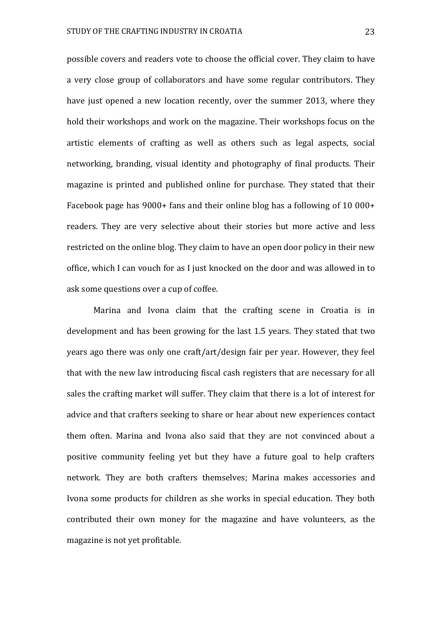possible covers and readers vote to choose the official cover. They claim to have a very close group of collaborators and have some regular contributors. They have just opened a new location recently, over the summer 2013, where they hold their workshops and work on the magazine. Their workshops focus on the artistic elements of crafting as well as others such as legal aspects, social networking, branding, visual identity and photography of final products. Their magazine is printed and published online for purchase. They stated that their Facebook page has 9000+ fans and their online blog has a following of 10 000+ readers. They are very selective about their stories but more active and less restricted on the online blog. They claim to have an open door policy in their new office, which I can vouch for as I just knocked on the door and was allowed in to ask some questions over a cup of coffee.

Marina and Ivona claim that the crafting scene in Croatia is in development and has been growing for the last 1.5 years. They stated that two years ago there was only one craft/art/design fair per year. However, they feel that with the new law introducing fiscal cash registers that are necessary for all sales the crafting market will suffer. They claim that there is a lot of interest for advice and that crafters seeking to share or hear about new experiences contact them often. Marina and Ivona also said that they are not convinced about a positive community feeling yet but they have a future goal to help crafters network. They are both crafters themselves; Marina makes accessories and Ivona some products for children as she works in special education. They both contributed their own money for the magazine and have volunteers, as the magazine is not yet profitable.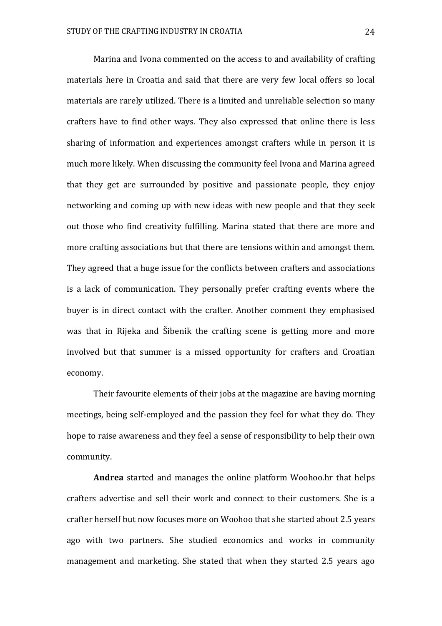Marina and Ivona commented on the access to and availability of crafting materials here in Croatia and said that there are very few local offers so local materials are rarely utilized. There is a limited and unreliable selection so many crafters have to find other ways. They also expressed that online there is less sharing of information and experiences amongst crafters while in person it is much more likely. When discussing the community feel Ivona and Marina agreed that they get are surrounded by positive and passionate people, they enjoy networking and coming up with new ideas with new people and that they seek out those who find creativity fulfilling. Marina stated that there are more and more crafting associations but that there are tensions within and amongst them. They agreed that a huge issue for the conflicts between crafters and associations is a lack of communication. They personally prefer crafting events where the buyer is in direct contact with the crafter. Another comment they emphasised was that in Rijeka and Šibenik the crafting scene is getting more and more involved but that summer is a missed opportunity for crafters and Croatian economy.

Their favourite elements of their jobs at the magazine are having morning meetings, being self-employed and the passion they feel for what they do. They hope to raise awareness and they feel a sense of responsibility to help their own community.

**Andrea** started and manages the online platform Woohoo.hr that helps crafters advertise and sell their work and connect to their customers. She is a crafter herself but now focuses more on Woohoo that she started about 2.5 years ago with two partners. She studied economics and works in community management and marketing. She stated that when they started 2.5 years ago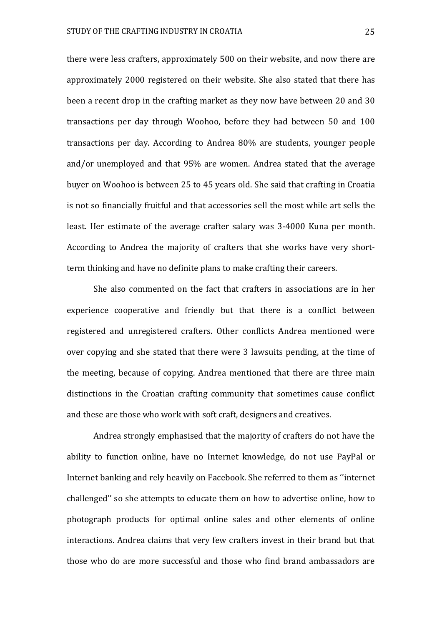there were less crafters, approximately 500 on their website, and now there are approximately 2000 registered on their website. She also stated that there has been a recent drop in the crafting market as they now have between 20 and 30 transactions per day through Woohoo, before they had between 50 and 100 transactions per day. According to Andrea 80% are students, younger people and/or unemployed and that 95% are women. Andrea stated that the average buyer on Woohoo is between 25 to 45 years old. She said that crafting in Croatia is not so financially fruitful and that accessories sell the most while art sells the least. Her estimate of the average crafter salary was 3-4000 Kuna per month. According to Andrea the majority of crafters that she works have very shortterm thinking and have no definite plans to make crafting their careers.

She also commented on the fact that crafters in associations are in her experience cooperative and friendly but that there is a conflict between registered and unregistered crafters. Other conflicts Andrea mentioned were over copying and she stated that there were 3 lawsuits pending, at the time of the meeting, because of copying. Andrea mentioned that there are three main distinctions in the Croatian crafting community that sometimes cause conflict and these are those who work with soft craft, designers and creatives.

Andrea strongly emphasised that the majority of crafters do not have the ability to function online, have no Internet knowledge, do not use PayPal or Internet banking and rely heavily on Facebook. She referred to them as ''internet challenged'' so she attempts to educate them on how to advertise online, how to photograph products for optimal online sales and other elements of online interactions. Andrea claims that very few crafters invest in their brand but that those who do are more successful and those who find brand ambassadors are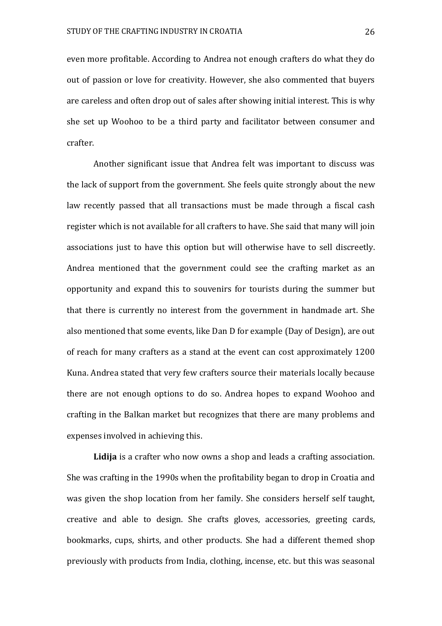even more profitable. According to Andrea not enough crafters do what they do out of passion or love for creativity. However, she also commented that buyers are careless and often drop out of sales after showing initial interest. This is why she set up Woohoo to be a third party and facilitator between consumer and crafter.

Another significant issue that Andrea felt was important to discuss was the lack of support from the government. She feels quite strongly about the new law recently passed that all transactions must be made through a fiscal cash register which is not available for all crafters to have. She said that many will join associations just to have this option but will otherwise have to sell discreetly. Andrea mentioned that the government could see the crafting market as an opportunity and expand this to souvenirs for tourists during the summer but that there is currently no interest from the government in handmade art. She also mentioned that some events, like Dan D for example (Day of Design), are out of reach for many crafters as a stand at the event can cost approximately 1200 Kuna. Andrea stated that very few crafters source their materials locally because there are not enough options to do so. Andrea hopes to expand Woohoo and crafting in the Balkan market but recognizes that there are many problems and expenses involved in achieving this.

**Lidija** is a crafter who now owns a shop and leads a crafting association. She was crafting in the 1990s when the profitability began to drop in Croatia and was given the shop location from her family. She considers herself self taught, creative and able to design. She crafts gloves, accessories, greeting cards, bookmarks, cups, shirts, and other products. She had a different themed shop previously with products from India, clothing, incense, etc. but this was seasonal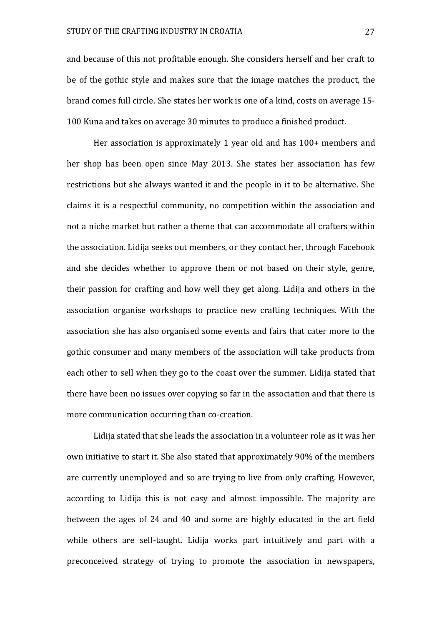and because of this not profitable enough. She considers herself and her craft to be of the gothic style and makes sure that the image matches the product, the brand comes full circle. She states her work is one of a kind, costs on average 15- 100 Kuna and takes on average 30 minutes to produce a finished product.

Her association is approximately 1 year old and has 100+ members and her shop has been open since May 2013. She states her association has few restrictions but she always wanted it and the people in it to be alternative. She claims it is a respectful community, no competition within the association and not a niche market but rather a theme that can accommodate all crafters within the association. Lidija seeks out members, or they contact her, through Facebook and she decides whether to approve them or not based on their style, genre, their passion for crafting and how well they get along. Lidija and others in the association organise workshops to practice new crafting techniques. With the association she has also organised some events and fairs that cater more to the gothic consumer and many members of the association will take products from each other to sell when they go to the coast over the summer. Lidija stated that there have been no issues over copying so far in the association and that there is more communication occurring than co-creation.

Lidija stated that she leads the association in a volunteer role as it was her own initiative to start it. She also stated that approximately 90% of the members are currently unemployed and so are trying to live from only crafting. However, according to Lidija this is not easy and almost impossible. The majority are between the ages of 24 and 40 and some are highly educated in the art field while others are self-taught. Lidija works part intuitively and part with a preconceived strategy of trying to promote the association in newspapers,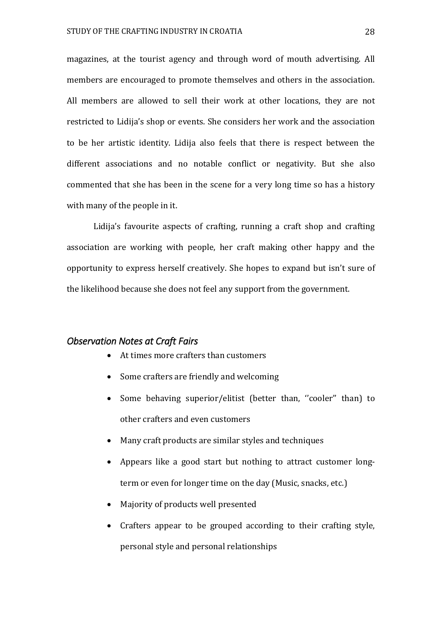magazines, at the tourist agency and through word of mouth advertising. All members are encouraged to promote themselves and others in the association. All members are allowed to sell their work at other locations, they are not restricted to Lidija's shop or events. She considers her work and the association to be her artistic identity. Lidija also feels that there is respect between the different associations and no notable conflict or negativity. But she also commented that she has been in the scene for a very long time so has a history with many of the people in it.

Lidija's favourite aspects of crafting, running a craft shop and crafting association are working with people, her craft making other happy and the opportunity to express herself creatively. She hopes to expand but isn't sure of the likelihood because she does not feel any support from the government.

#### <span id="page-28-0"></span>*Observation Notes at Craft Fairs*

- At times more crafters than customers
- Some crafters are friendly and welcoming
- Some behaving superior/elitist (better than, "cooler" than) to other crafters and even customers
- Many craft products are similar styles and techniques
- Appears like a good start but nothing to attract customer longterm or even for longer time on the day (Music, snacks, etc.)
- Majority of products well presented
- Crafters appear to be grouped according to their crafting style, personal style and personal relationships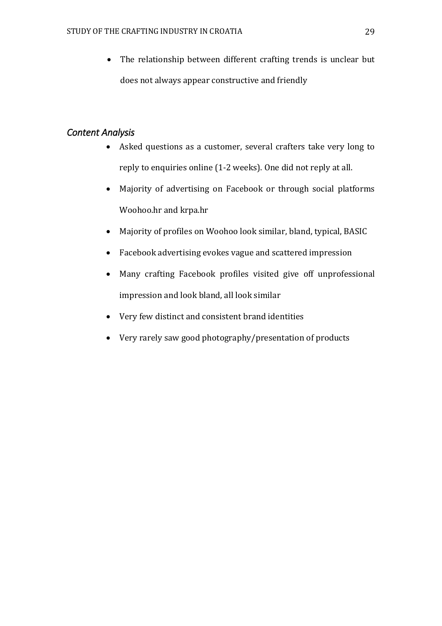• The relationship between different crafting trends is unclear but does not always appear constructive and friendly

# <span id="page-29-0"></span>*Content Analysis*

- Asked questions as a customer, several crafters take very long to reply to enquiries online (1-2 weeks). One did not reply at all.
- Majority of advertising on Facebook or through social platforms Woohoo.hr and krpa.hr
- Majority of profiles on Woohoo look similar, bland, typical, BASIC
- Facebook advertising evokes vague and scattered impression
- Many crafting Facebook profiles visited give off unprofessional impression and look bland, all look similar
- Very few distinct and consistent brand identities
- Very rarely saw good photography/presentation of products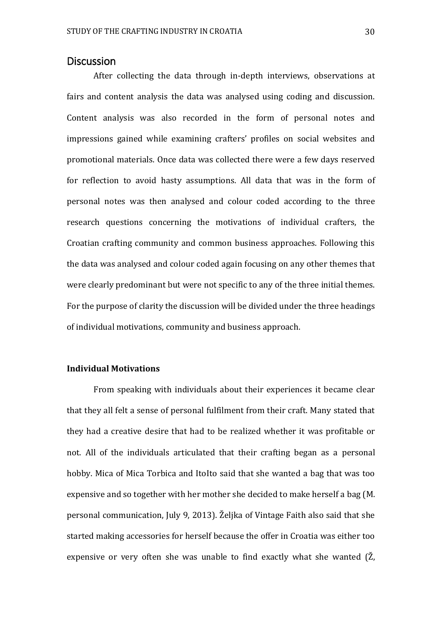#### <span id="page-30-0"></span>**Discussion**

After collecting the data through in-depth interviews, observations at fairs and content analysis the data was analysed using coding and discussion. Content analysis was also recorded in the form of personal notes and impressions gained while examining crafters' profiles on social websites and promotional materials. Once data was collected there were a few days reserved for reflection to avoid hasty assumptions. All data that was in the form of personal notes was then analysed and colour coded according to the three research questions concerning the motivations of individual crafters, the Croatian crafting community and common business approaches. Following this the data was analysed and colour coded again focusing on any other themes that were clearly predominant but were not specific to any of the three initial themes. For the purpose of clarity the discussion will be divided under the three headings of individual motivations, community and business approach.

#### **Individual Motivations**

From speaking with individuals about their experiences it became clear that they all felt a sense of personal fulfilment from their craft. Many stated that they had a creative desire that had to be realized whether it was profitable or not. All of the individuals articulated that their crafting began as a personal hobby. Mica of Mica Torbica and ItoIto said that she wanted a bag that was too expensive and so together with her mother she decided to make herself a bag (M. personal communication, July 9, 2013). Željka of Vintage Faith also said that she started making accessories for herself because the offer in Croatia was either too expensive or very often she was unable to find exactly what she wanted (Ž,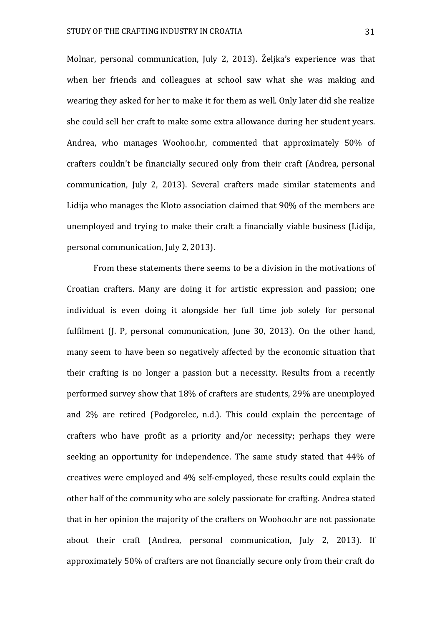Molnar, personal communication, July 2, 2013). Željka's experience was that when her friends and colleagues at school saw what she was making and wearing they asked for her to make it for them as well. Only later did she realize she could sell her craft to make some extra allowance during her student years. Andrea, who manages Woohoo.hr, commented that approximately 50% of crafters couldn't be financially secured only from their craft (Andrea, personal communication, July 2, 2013). Several crafters made similar statements and Lidija who manages the Kloto association claimed that 90% of the members are unemployed and trying to make their craft a financially viable business (Lidija, personal communication, July 2, 2013).

From these statements there seems to be a division in the motivations of Croatian crafters. Many are doing it for artistic expression and passion; one individual is even doing it alongside her full time job solely for personal fulfilment (J. P, personal communication, June 30, 2013). On the other hand, many seem to have been so negatively affected by the economic situation that their crafting is no longer a passion but a necessity. Results from a recently performed survey show that 18% of crafters are students, 29% are unemployed and 2% are retired (Podgorelec, n.d.). This could explain the percentage of crafters who have profit as a priority and/or necessity; perhaps they were seeking an opportunity for independence. The same study stated that 44% of creatives were employed and 4% self-employed, these results could explain the other half of the community who are solely passionate for crafting. Andrea stated that in her opinion the majority of the crafters on Woohoo.hr are not passionate about their craft (Andrea, personal communication, July 2, 2013). If approximately 50% of crafters are not financially secure only from their craft do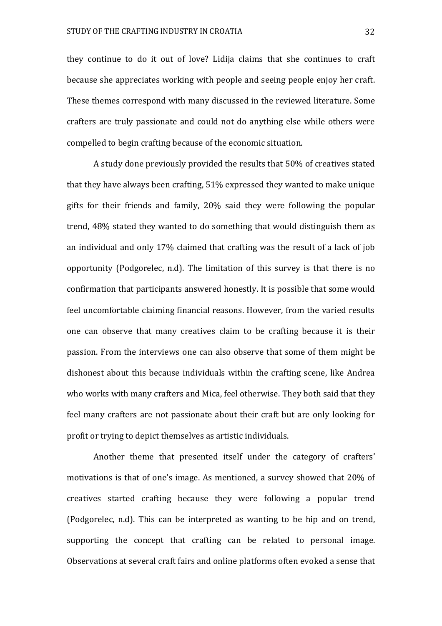they continue to do it out of love? Lidija claims that she continues to craft because she appreciates working with people and seeing people enjoy her craft. These themes correspond with many discussed in the reviewed literature. Some crafters are truly passionate and could not do anything else while others were compelled to begin crafting because of the economic situation.

A study done previously provided the results that 50% of creatives stated that they have always been crafting, 51% expressed they wanted to make unique gifts for their friends and family, 20% said they were following the popular trend, 48% stated they wanted to do something that would distinguish them as an individual and only 17% claimed that crafting was the result of a lack of job opportunity (Podgorelec, n.d). The limitation of this survey is that there is no confirmation that participants answered honestly. It is possible that some would feel uncomfortable claiming financial reasons. However, from the varied results one can observe that many creatives claim to be crafting because it is their passion. From the interviews one can also observe that some of them might be dishonest about this because individuals within the crafting scene, like Andrea who works with many crafters and Mica, feel otherwise. They both said that they feel many crafters are not passionate about their craft but are only looking for profit or trying to depict themselves as artistic individuals.

Another theme that presented itself under the category of crafters' motivations is that of one's image. As mentioned, a survey showed that 20% of creatives started crafting because they were following a popular trend (Podgorelec, n.d). This can be interpreted as wanting to be hip and on trend, supporting the concept that crafting can be related to personal image. Observations at several craft fairs and online platforms often evoked a sense that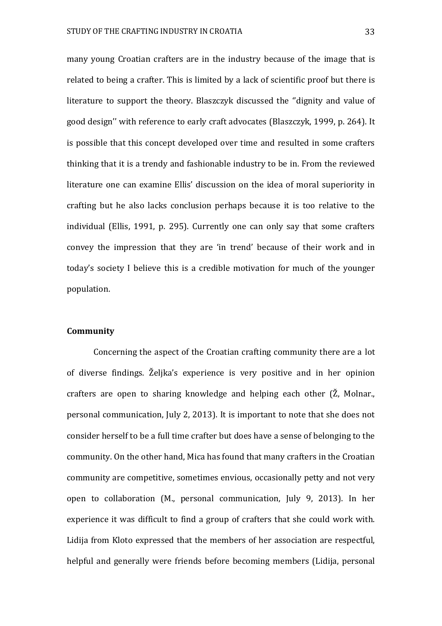many young Croatian crafters are in the industry because of the image that is related to being a crafter. This is limited by a lack of scientific proof but there is literature to support the theory. Blaszczyk discussed the ''dignity and value of good design'' with reference to early craft advocates (Blaszczyk, 1999, p. 264). It is possible that this concept developed over time and resulted in some crafters thinking that it is a trendy and fashionable industry to be in. From the reviewed literature one can examine Ellis' discussion on the idea of moral superiority in crafting but he also lacks conclusion perhaps because it is too relative to the individual (Ellis, 1991, p. 295). Currently one can only say that some crafters convey the impression that they are 'in trend' because of their work and in today's society I believe this is a credible motivation for much of the younger population.

#### **Community**

Concerning the aspect of the Croatian crafting community there are a lot of diverse findings. Željka's experience is very positive and in her opinion crafters are open to sharing knowledge and helping each other (Ž, Molnar., personal communication, July 2, 2013). It is important to note that she does not consider herself to be a full time crafter but does have a sense of belonging to the community. On the other hand, Mica has found that many crafters in the Croatian community are competitive, sometimes envious, occasionally petty and not very open to collaboration (M., personal communication, July 9, 2013). In her experience it was difficult to find a group of crafters that she could work with. Lidija from Kloto expressed that the members of her association are respectful, helpful and generally were friends before becoming members (Lidija, personal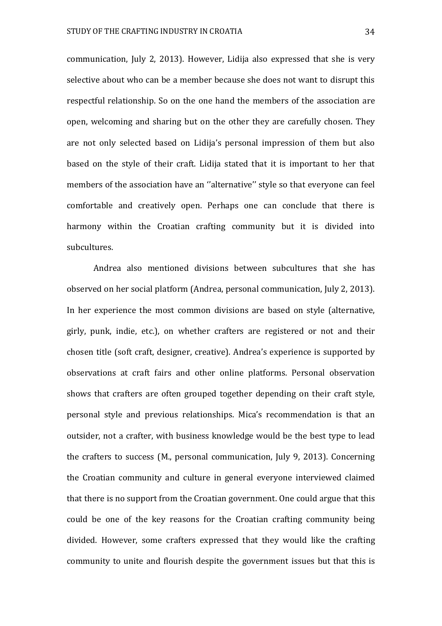communication, July 2, 2013). However, Lidija also expressed that she is very selective about who can be a member because she does not want to disrupt this respectful relationship. So on the one hand the members of the association are open, welcoming and sharing but on the other they are carefully chosen. They are not only selected based on Lidija's personal impression of them but also based on the style of their craft. Lidija stated that it is important to her that members of the association have an ''alternative'' style so that everyone can feel comfortable and creatively open. Perhaps one can conclude that there is harmony within the Croatian crafting community but it is divided into subcultures.

Andrea also mentioned divisions between subcultures that she has observed on her social platform (Andrea, personal communication, July 2, 2013). In her experience the most common divisions are based on style (alternative, girly, punk, indie, etc.), on whether crafters are registered or not and their chosen title (soft craft, designer, creative). Andrea's experience is supported by observations at craft fairs and other online platforms. Personal observation shows that crafters are often grouped together depending on their craft style, personal style and previous relationships. Mica's recommendation is that an outsider, not a crafter, with business knowledge would be the best type to lead the crafters to success (M., personal communication, July 9, 2013). Concerning the Croatian community and culture in general everyone interviewed claimed that there is no support from the Croatian government. One could argue that this could be one of the key reasons for the Croatian crafting community being divided. However, some crafters expressed that they would like the crafting community to unite and flourish despite the government issues but that this is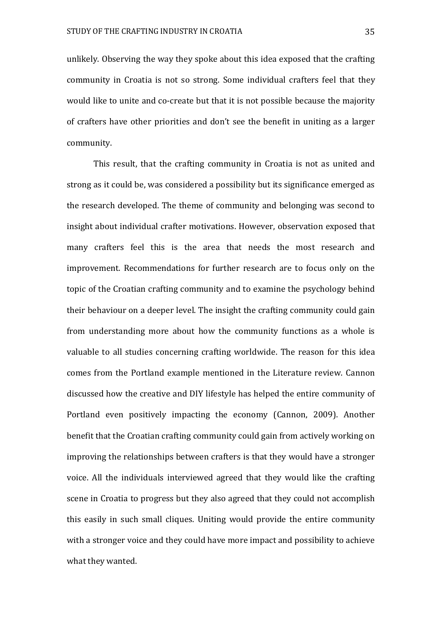unlikely. Observing the way they spoke about this idea exposed that the crafting community in Croatia is not so strong. Some individual crafters feel that they would like to unite and co-create but that it is not possible because the majority of crafters have other priorities and don't see the benefit in uniting as a larger community.

This result, that the crafting community in Croatia is not as united and strong as it could be, was considered a possibility but its significance emerged as the research developed. The theme of community and belonging was second to insight about individual crafter motivations. However, observation exposed that many crafters feel this is the area that needs the most research and improvement. Recommendations for further research are to focus only on the topic of the Croatian crafting community and to examine the psychology behind their behaviour on a deeper level. The insight the crafting community could gain from understanding more about how the community functions as a whole is valuable to all studies concerning crafting worldwide. The reason for this idea comes from the Portland example mentioned in the Literature review. Cannon discussed how the creative and DIY lifestyle has helped the entire community of Portland even positively impacting the economy (Cannon, 2009). Another benefit that the Croatian crafting community could gain from actively working on improving the relationships between crafters is that they would have a stronger voice. All the individuals interviewed agreed that they would like the crafting scene in Croatia to progress but they also agreed that they could not accomplish this easily in such small cliques. Uniting would provide the entire community with a stronger voice and they could have more impact and possibility to achieve what they wanted.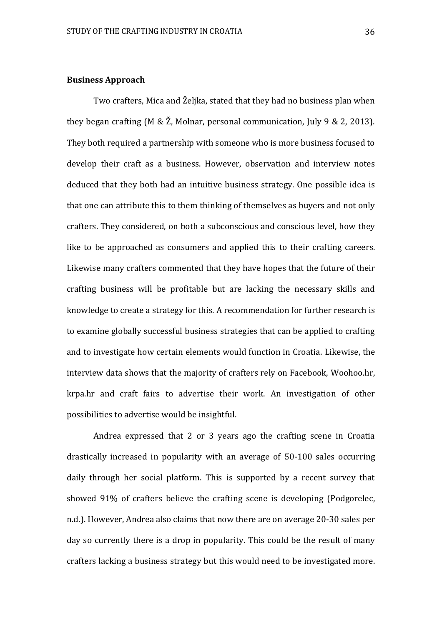#### **Business Approach**

Two crafters, Mica and Željka, stated that they had no business plan when they began crafting (M & Ž, Molnar, personal communication, July 9 & 2, 2013). They both required a partnership with someone who is more business focused to develop their craft as a business. However, observation and interview notes deduced that they both had an intuitive business strategy. One possible idea is that one can attribute this to them thinking of themselves as buyers and not only crafters. They considered, on both a subconscious and conscious level, how they like to be approached as consumers and applied this to their crafting careers. Likewise many crafters commented that they have hopes that the future of their crafting business will be profitable but are lacking the necessary skills and knowledge to create a strategy for this. A recommendation for further research is to examine globally successful business strategies that can be applied to crafting and to investigate how certain elements would function in Croatia. Likewise, the interview data shows that the majority of crafters rely on Facebook, Woohoo.hr, krpa.hr and craft fairs to advertise their work. An investigation of other possibilities to advertise would be insightful.

Andrea expressed that 2 or 3 years ago the crafting scene in Croatia drastically increased in popularity with an average of 50-100 sales occurring daily through her social platform. This is supported by a recent survey that showed 91% of crafters believe the crafting scene is developing (Podgorelec, n.d.). However, Andrea also claims that now there are on average 20-30 sales per day so currently there is a drop in popularity. This could be the result of many crafters lacking a business strategy but this would need to be investigated more.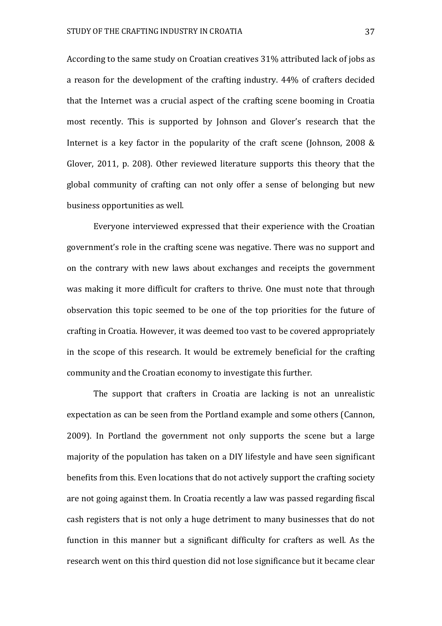According to the same study on Croatian creatives 31% attributed lack of jobs as a reason for the development of the crafting industry. 44% of crafters decided that the Internet was a crucial aspect of the crafting scene booming in Croatia most recently. This is supported by Johnson and Glover's research that the Internet is a key factor in the popularity of the craft scene (Johnson, 2008 & Glover, 2011, p. 208). Other reviewed literature supports this theory that the global community of crafting can not only offer a sense of belonging but new business opportunities as well.

Everyone interviewed expressed that their experience with the Croatian government's role in the crafting scene was negative. There was no support and on the contrary with new laws about exchanges and receipts the government was making it more difficult for crafters to thrive. One must note that through observation this topic seemed to be one of the top priorities for the future of crafting in Croatia. However, it was deemed too vast to be covered appropriately in the scope of this research. It would be extremely beneficial for the crafting community and the Croatian economy to investigate this further.

The support that crafters in Croatia are lacking is not an unrealistic expectation as can be seen from the Portland example and some others (Cannon, 2009). In Portland the government not only supports the scene but a large majority of the population has taken on a DIY lifestyle and have seen significant benefits from this. Even locations that do not actively support the crafting society are not going against them. In Croatia recently a law was passed regarding fiscal cash registers that is not only a huge detriment to many businesses that do not function in this manner but a significant difficulty for crafters as well. As the research went on this third question did not lose significance but it became clear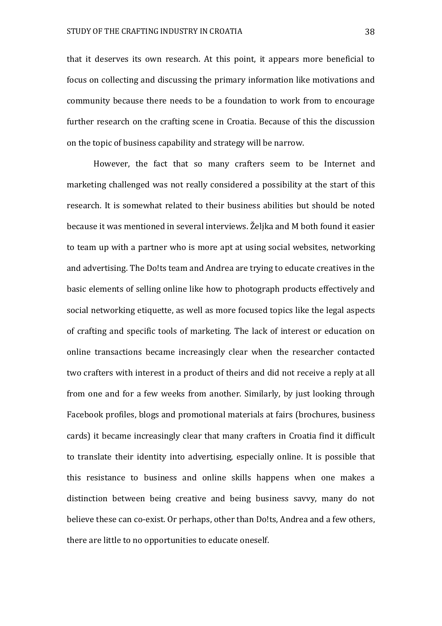that it deserves its own research. At this point, it appears more beneficial to focus on collecting and discussing the primary information like motivations and community because there needs to be a foundation to work from to encourage further research on the crafting scene in Croatia. Because of this the discussion on the topic of business capability and strategy will be narrow.

However, the fact that so many crafters seem to be Internet and marketing challenged was not really considered a possibility at the start of this research. It is somewhat related to their business abilities but should be noted because it was mentioned in several interviews. Željka and M both found it easier to team up with a partner who is more apt at using social websites, networking and advertising. The Do!ts team and Andrea are trying to educate creatives in the basic elements of selling online like how to photograph products effectively and social networking etiquette, as well as more focused topics like the legal aspects of crafting and specific tools of marketing. The lack of interest or education on online transactions became increasingly clear when the researcher contacted two crafters with interest in a product of theirs and did not receive a reply at all from one and for a few weeks from another. Similarly, by just looking through Facebook profiles, blogs and promotional materials at fairs (brochures, business cards) it became increasingly clear that many crafters in Croatia find it difficult to translate their identity into advertising, especially online. It is possible that this resistance to business and online skills happens when one makes a distinction between being creative and being business savvy, many do not believe these can co-exist. Or perhaps, other than Do!ts, Andrea and a few others, there are little to no opportunities to educate oneself.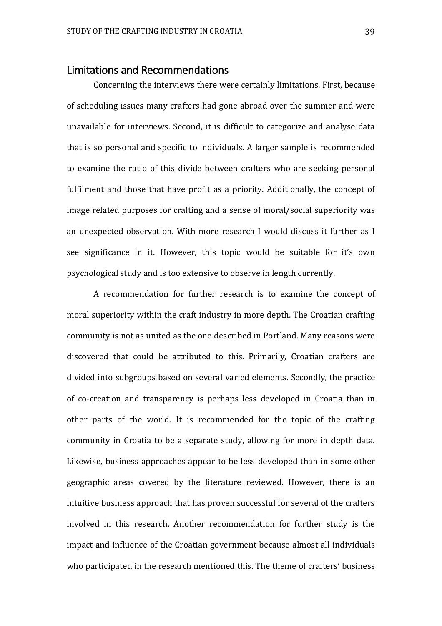## <span id="page-39-0"></span>Limitations and Recommendations

Concerning the interviews there were certainly limitations. First, because of scheduling issues many crafters had gone abroad over the summer and were unavailable for interviews. Second, it is difficult to categorize and analyse data that is so personal and specific to individuals. A larger sample is recommended to examine the ratio of this divide between crafters who are seeking personal fulfilment and those that have profit as a priority. Additionally, the concept of image related purposes for crafting and a sense of moral/social superiority was an unexpected observation. With more research I would discuss it further as I see significance in it. However, this topic would be suitable for it's own psychological study and is too extensive to observe in length currently.

A recommendation for further research is to examine the concept of moral superiority within the craft industry in more depth. The Croatian crafting community is not as united as the one described in Portland. Many reasons were discovered that could be attributed to this. Primarily, Croatian crafters are divided into subgroups based on several varied elements. Secondly, the practice of co-creation and transparency is perhaps less developed in Croatia than in other parts of the world. It is recommended for the topic of the crafting community in Croatia to be a separate study, allowing for more in depth data. Likewise, business approaches appear to be less developed than in some other geographic areas covered by the literature reviewed. However, there is an intuitive business approach that has proven successful for several of the crafters involved in this research. Another recommendation for further study is the impact and influence of the Croatian government because almost all individuals who participated in the research mentioned this. The theme of crafters' business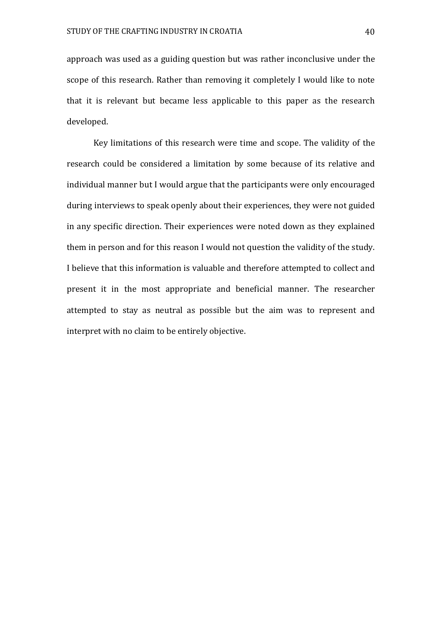approach was used as a guiding question but was rather inconclusive under the scope of this research. Rather than removing it completely I would like to note that it is relevant but became less applicable to this paper as the research developed.

Key limitations of this research were time and scope. The validity of the research could be considered a limitation by some because of its relative and individual manner but I would argue that the participants were only encouraged during interviews to speak openly about their experiences, they were not guided in any specific direction. Their experiences were noted down as they explained them in person and for this reason I would not question the validity of the study. I believe that this information is valuable and therefore attempted to collect and present it in the most appropriate and beneficial manner. The researcher attempted to stay as neutral as possible but the aim was to represent and interpret with no claim to be entirely objective.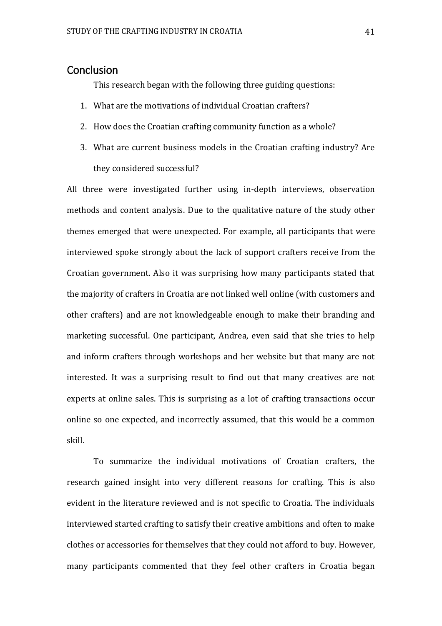# <span id="page-41-0"></span>**Conclusion**

This research began with the following three guiding questions:

- 1. What are the motivations of individual Croatian crafters?
- 2. How does the Croatian crafting community function as a whole?
- 3. What are current business models in the Croatian crafting industry? Are they considered successful?

All three were investigated further using in-depth interviews, observation methods and content analysis. Due to the qualitative nature of the study other themes emerged that were unexpected. For example, all participants that were interviewed spoke strongly about the lack of support crafters receive from the Croatian government. Also it was surprising how many participants stated that the majority of crafters in Croatia are not linked well online (with customers and other crafters) and are not knowledgeable enough to make their branding and marketing successful. One participant, Andrea, even said that she tries to help and inform crafters through workshops and her website but that many are not interested. It was a surprising result to find out that many creatives are not experts at online sales. This is surprising as a lot of crafting transactions occur online so one expected, and incorrectly assumed, that this would be a common skill.

To summarize the individual motivations of Croatian crafters, the research gained insight into very different reasons for crafting. This is also evident in the literature reviewed and is not specific to Croatia. The individuals interviewed started crafting to satisfy their creative ambitions and often to make clothes or accessories for themselves that they could not afford to buy. However, many participants commented that they feel other crafters in Croatia began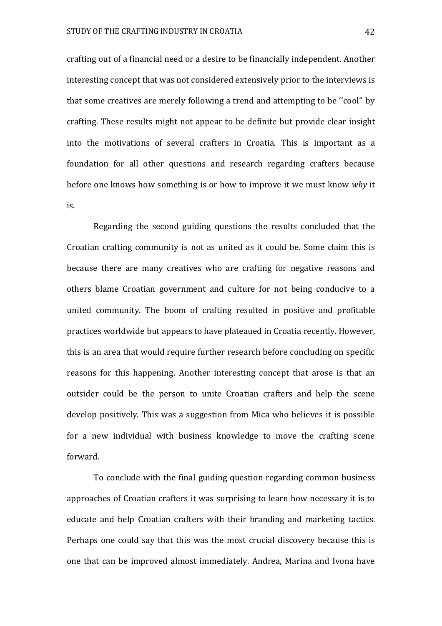crafting out of a financial need or a desire to be financially independent. Another interesting concept that was not considered extensively prior to the interviews is that some creatives are merely following a trend and attempting to be ''cool'' by crafting. These results might not appear to be definite but provide clear insight into the motivations of several crafters in Croatia. This is important as a foundation for all other questions and research regarding crafters because before one knows how something is or how to improve it we must know *why* it is.

Regarding the second guiding questions the results concluded that the Croatian crafting community is not as united as it could be. Some claim this is because there are many creatives who are crafting for negative reasons and others blame Croatian government and culture for not being conducive to a united community. The boom of crafting resulted in positive and profitable practices worldwide but appears to have plateaued in Croatia recently. However, this is an area that would require further research before concluding on specific reasons for this happening. Another interesting concept that arose is that an outsider could be the person to unite Croatian crafters and help the scene develop positively. This was a suggestion from Mica who believes it is possible for a new individual with business knowledge to move the crafting scene forward.

To conclude with the final guiding question regarding common business approaches of Croatian crafters it was surprising to learn how necessary it is to educate and help Croatian crafters with their branding and marketing tactics. Perhaps one could say that this was the most crucial discovery because this is one that can be improved almost immediately. Andrea, Marina and Ivona have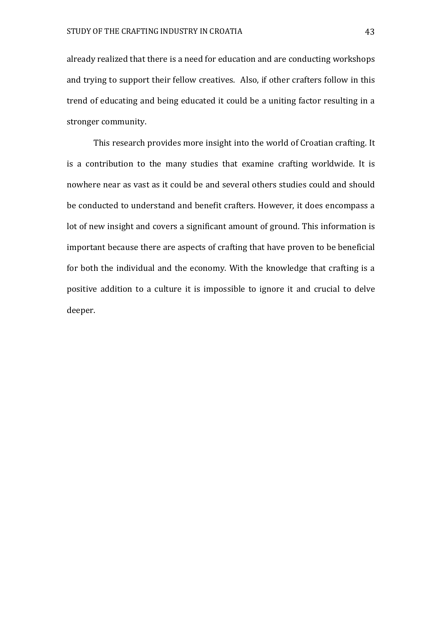already realized that there is a need for education and are conducting workshops and trying to support their fellow creatives. Also, if other crafters follow in this trend of educating and being educated it could be a uniting factor resulting in a stronger community.

This research provides more insight into the world of Croatian crafting. It is a contribution to the many studies that examine crafting worldwide. It is nowhere near as vast as it could be and several others studies could and should be conducted to understand and benefit crafters. However, it does encompass a lot of new insight and covers a significant amount of ground. This information is important because there are aspects of crafting that have proven to be beneficial for both the individual and the economy. With the knowledge that crafting is a positive addition to a culture it is impossible to ignore it and crucial to delve deeper.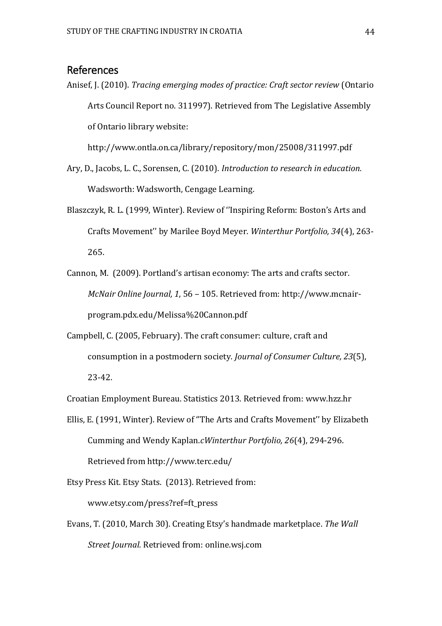# <span id="page-44-0"></span>References

Anisef, J. (2010). *Tracing emerging modes of practice: Craft sector review* (Ontario Arts Council Report no. 311997). Retrieved from The Legislative Assembly of Ontario library website:

<http://www.ontla.on.ca/library/repository/mon/25008/311997.pdf>

- Ary, D., Jacobs, L. C., Sorensen, C. (2010). *Introduction to research in education.*  Wadsworth: Wadsworth, Cengage Learning.
- Blaszczyk, R. L. (1999, Winter). Review of ''Inspiring Reform: Boston's Arts and Crafts Movement'' by Marilee Boyd Meyer. *Winterthur Portfolio, 34*(4), 263- 265.
- Cannon, M. (2009). Portland's artisan economy: The arts and crafts sector. *McNair Online Journal, 1*, 56 – 105. Retrieved from: [http://www.mcnair](http://www.mcnair-program.pdx.edu/Melissa%20Cannon.pdf)[program.pdx.edu/Melissa%20Cannon.pdf](http://www.mcnair-program.pdx.edu/Melissa%20Cannon.pdf)
- Campbell, C. (2005, February). The craft consumer: culture, craft and consumption in a postmodern society. *Journal of Consumer Culture, 23*(5), 23-42.

Croatian Employment Bureau. Statistics 2013. Retrieved from: [www.hzz.hr](http://www.hzz.hr/)

Ellis, E. (1991, Winter). Review of ''The Arts and Crafts Movement'' by Elizabeth Cumming and Wendy Kaplan.*cWinterthur Portfolio, 26*(4), 294-296. Retrieved from<http://www.terc.edu/>

Etsy Press Kit. Etsy Stats. (2013). Retrieved from: [www.etsy.com/press?ref=ft\\_press](http://www.etsy.com/press?ref=ft_press)

Evans, T. (2010, March 30). Creating Etsy's handmade marketplace. *The Wall Street Journal.* Retrieved from: online.wsj.com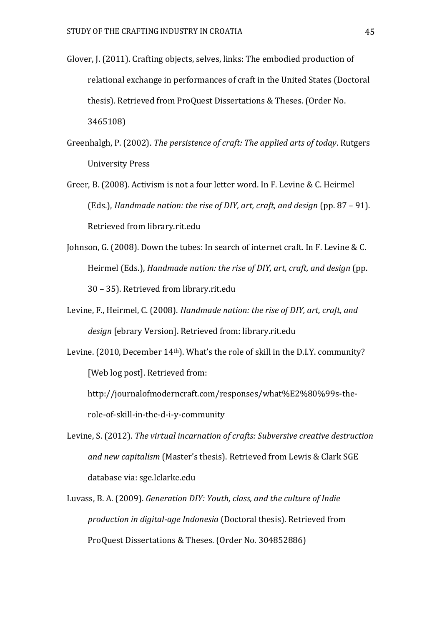- Glover, J. (2011). Crafting objects, selves, links: The embodied production of relational exchange in performances of craft in the United States (Doctoral thesis). Retrieved from ProQuest Dissertations & Theses. (Order No. 3465108)
- Greenhalgh, P. (2002). *The persistence of craft: The applied arts of today*. Rutgers University Press
- Greer, B. (2008). Activism is not a four letter word. In F. Levine & C. Heirmel (Eds.), *Handmade [nation: the rise of DIY, art, craft, and design](http://rit.summon.serialssolutions.com/link/0/eLvHCXMwY2BQMDOwSAatWkxKtTRLSkyzTEsxN04FVkWpFqnACtYItLk5Mswkys88KMjYlwdROLmJMsi4uYY4e-gC-8Xx0OGL-CQjS9D-UjNLQzEGFmCXOBUAY00Xcw)* (pp. 87 – 91). Retrieved from library.rit.edu
- Johnson, G. (2008). Down the tubes: In search of internet craft. In F. Levine & C. Heirmel (Eds.), *Handmade [nation: the rise of DIY, art, craft, and design](http://rit.summon.serialssolutions.com/link/0/eLvHCXMwY2BQMDOwSAatWkxKtTRLSkyzTEsxN04FVkWpFqnACtYItLk5Mswkys88KMjYlwdROLmJMsi4uYY4e-gC-8Xx0OGL-CQjS9D-UjNLQzEGFmCXOBUAY00Xcw)* (pp. 30 – 35). Retrieved from library.rit.edu
- Levine, F., Heirmel, C. (2008). *Handmade nation: the rise of DIY, art, craft, and design* [ebrary Version]. Retrieved from: library.rit.edu
- Levine. (2010, December 14th). What's the role of skill in the D.I.Y. community? [Web log post]. Retrieved from:

[http://journalofmoderncraft.com/responses/what%E2%80%99s-the](http://journalofmoderncraft.com/responses/what%E2%80%99s-the-role-of-skill-in-the-d-i-y-community)[role-of-skill-in-the-d-i-y-community](http://journalofmoderncraft.com/responses/what%E2%80%99s-the-role-of-skill-in-the-d-i-y-community)

- Levine, S. (2012). *The virtual incarnation of crafts: Subversive creative destruction and new capitalism* (Master's thesis). Retrieved from Lewis & Clark SGE database via: sge.lclarke.edu
- Luvass, B. A. (2009). *Generation DIY: Youth, class, and the culture of Indie production in digital-age Indonesia* (Doctoral thesis). Retrieved from ProQuest Dissertations & Theses. (Order No. 304852886)